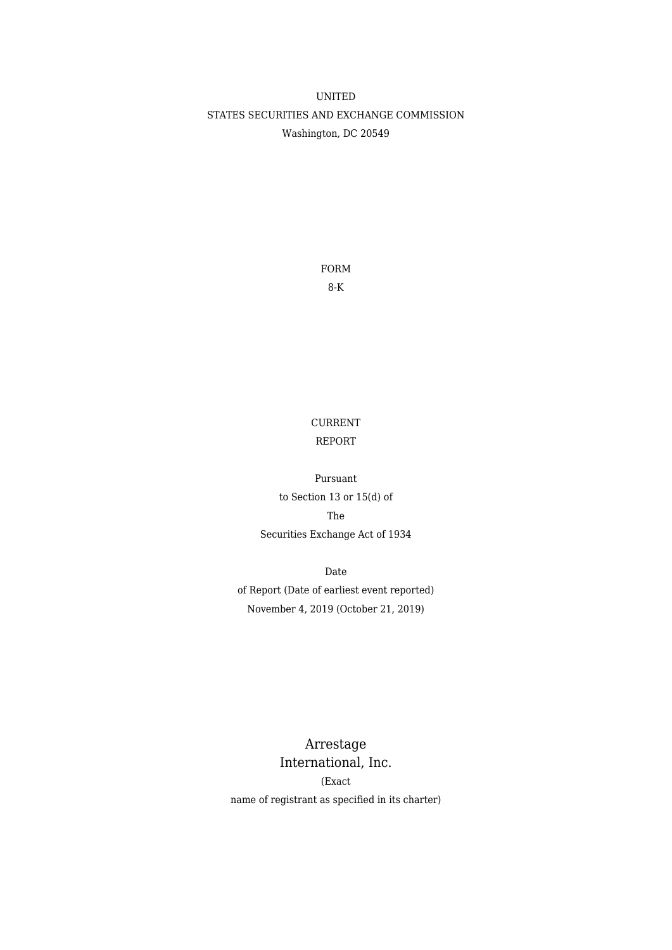# UNITED STATES SECURITIES AND EXCHANGE COMMISSION Washington, DC 20549

FORM 8-K

# CURRENT REPORT

Pursuant to Section 13 or 15(d) of The Securities Exchange Act of 1934

Date of Report (Date of earliest event reported) November 4, 2019 (October 21, 2019)

Arrestage International, Inc. (Exact name of registrant as specified in its charter)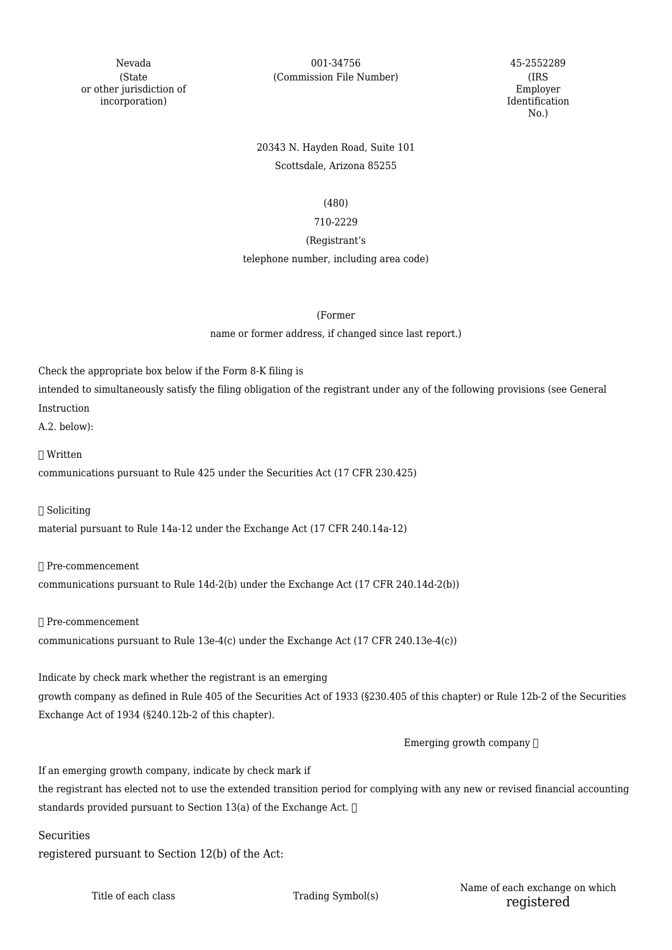(State or other jurisdiction of incorporation)

Nevada 001-34756 45-2552289 (Commission File Number) (IRS

Employer Identification No.)

# 20343 N. Hayden Road, Suite 101 Scottsdale, Arizona 85255

### (480)

### 710-2229

### (Registrant's

### telephone number, including area code)

(Former

### name or former address, if changed since last report.)

Check the appropriate box below if the Form 8-K filing is

intended to simultaneously satisfy the filing obligation of the registrant under any of the following provisions (see General Instruction

A.2. below):

☐ Written

communications pursuant to Rule 425 under the Securities Act (17 CFR 230.425)

☐ Soliciting

material pursuant to Rule 14a-12 under the Exchange Act (17 CFR 240.14a-12)

☐ Pre-commencement

communications pursuant to Rule 14d-2(b) under the Exchange Act (17 CFR 240.14d-2(b))

☐ Pre-commencement

communications pursuant to Rule 13e-4(c) under the Exchange Act (17 CFR 240.13e-4(c))

Indicate by check mark whether the registrant is an emerging growth company as defined in Rule 405 of the Securities Act of 1933 (§230.405 of this chapter) or Rule 12b-2 of the Securities Exchange Act of 1934 (§240.12b-2 of this chapter).

Emerging growth company  $\Box$ 

If an emerging growth company, indicate by check mark if

the registrant has elected not to use the extended transition period for complying with any new or revised financial accounting standards provided pursuant to Section 13(a) of the Exchange Act.  $\Box$ 

**Securities** 

registered pursuant to Section 12(b) of the Act: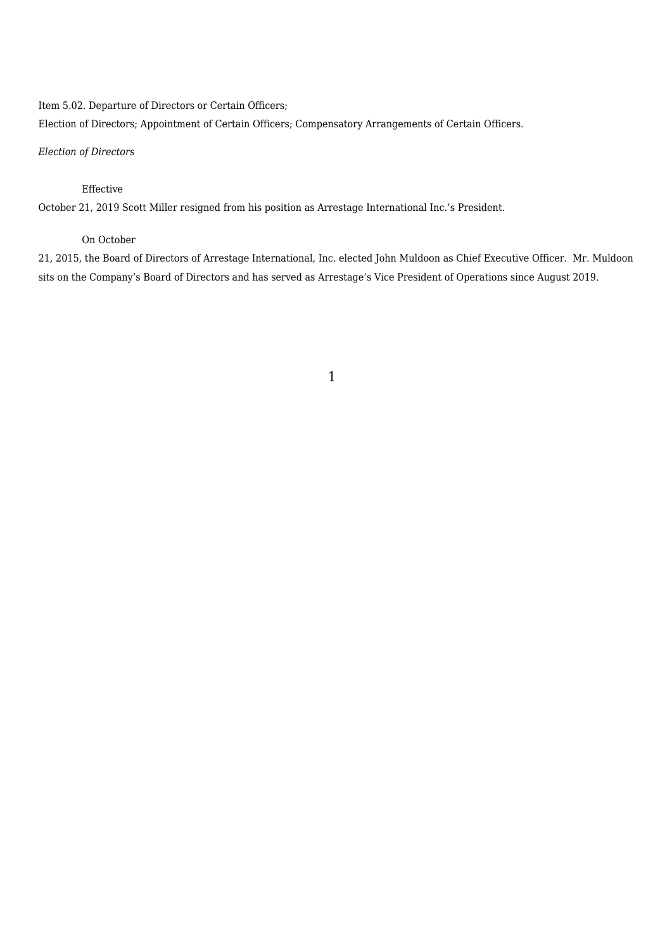### Item 5.02. Departure of Directors or Certain Officers;

Election of Directors; Appointment of Certain Officers; Compensatory Arrangements of Certain Officers.

### *Election of Directors*

## Effective

October 21, 2019 Scott Miller resigned from his position as Arrestage International Inc.'s President.

## On October

21, 2015, the Board of Directors of Arrestage International, Inc. elected John Muldoon as Chief Executive Officer. Mr. Muldoon sits on the Company's Board of Directors and has served as Arrestage's Vice President of Operations since August 2019.

## 1